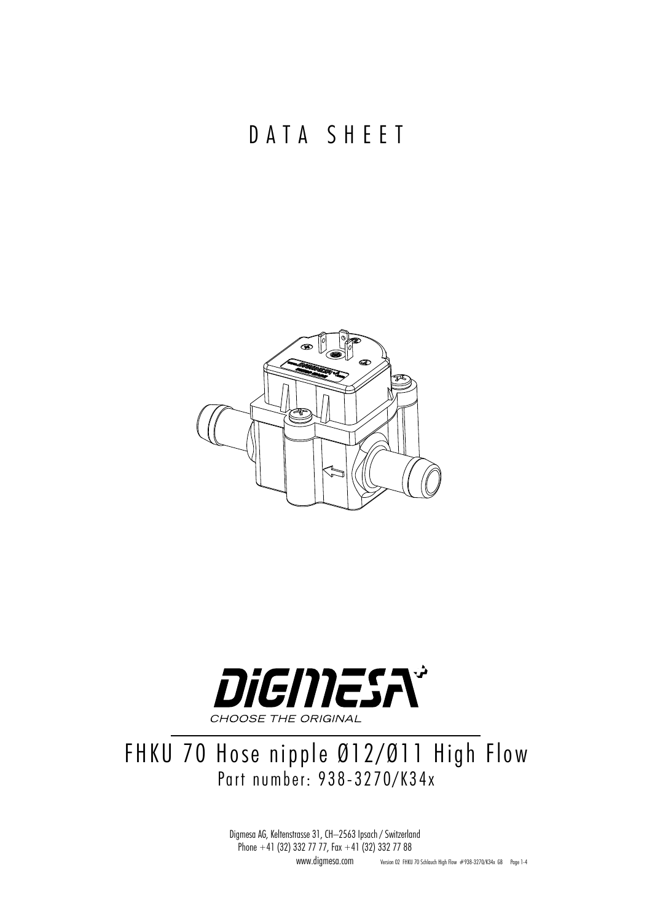DATA SHEET





### FHKU 70 Hose nipple Ø12/Ø11 High Flow Part number: 938-3270/K34x

Digmesa AG, Keltenstrasse 31, CH–2563 Ipsach / Switzerland Phone +41 (32) 332 77 77, Fax +41 (32) 332 77 88 www.digmesa.com Version 02 FHKU 70 Schlauch High Flow #938-3270/K34x GB Page 1-4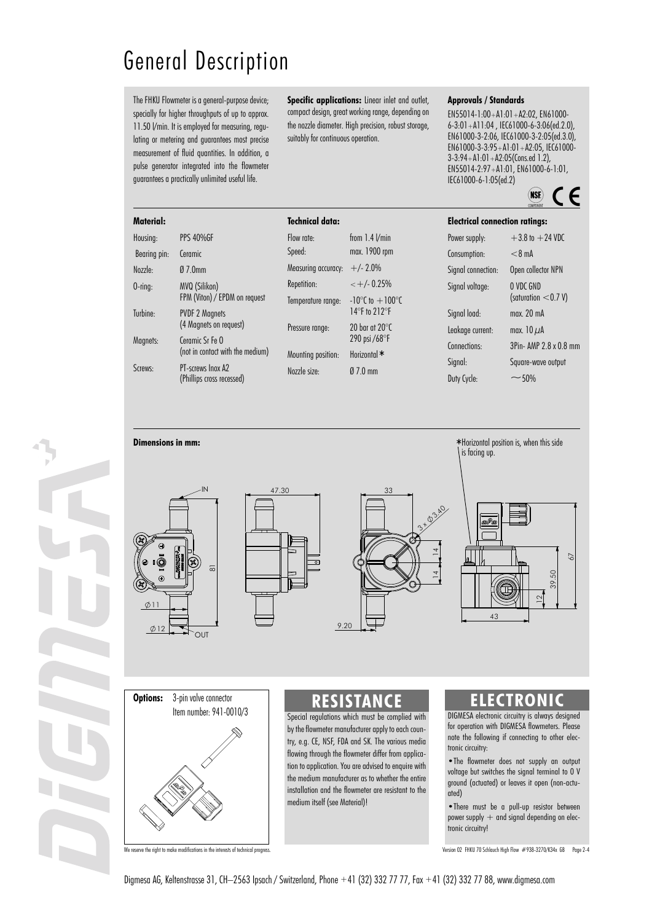## General Description

The FHKU Flowmeter is a general-purpose device; specially for higher throughputs of up to approx. 11.50 l/min. It is employed for measuring, regulating or metering and guarantees most precise measurement of fluid quantities. In addition, a pulse generator integrated into the flowmeter guarantees a practically unlimited useful life.

**Specific applications:** Linear inlet and outlet, compact design, great working range, depending on the nozzle diameter. High precision, robust storage, suitably for continuous operation.

#### **Approvals / Standards**

EN55014-1:00+A1:01+A2:02, EN61000- 6-3:01+A11:04 , IEC61000-6-3:06(ed.2.0), EN61000-3-2:06, IEC61000-3-2:05(ed.3.0), EN61000-3-3:95+A1:01+A2:05, IEC61000- 3-3:94+A1:01+A2:05(Cons.ed 1.2), EN55014-2:97+A1:01, EN61000-6-1:01, IEC61000-6-1:05(ed.2)

 $\overline{\mathsf{MSE}}$   $\mathcal{\mathcal{L}}$ 

|         |                                                     |                                       | COMPONENT              |  |
|---------|-----------------------------------------------------|---------------------------------------|------------------------|--|
| ata:    |                                                     | <b>Electrical connection ratings:</b> |                        |  |
|         | from $1.4$ $V$ min                                  | Power supply:                         | $+3.8$ to $+24$ VDC    |  |
|         | max. 1900 rpm                                       | Consumption:                          | $<$ 8 mA               |  |
| :uracy: | $+/- 2.0\%$                                         | Signal connection:                    | Open collector NPN     |  |
|         | $< +/- 0.25%$                                       | Signal voltage:                       | O VDC GND              |  |
| ange:   | $-10^{\circ}$ C to $+100^{\circ}$ C                 |                                       | (saturation $<$ 0.7 V) |  |
|         | 14 $\degree$ F to 212 $\degree$ F                   | Signal load:                          | max. 20 mA             |  |
| ì.      | 20 bar at 20 $\degree$ C<br>290 psi /68 $\degree$ F | Leakage current:                      | max. $10 \mu A$        |  |
|         |                                                     | Connections:                          | 3Pin- AMP 2.8 x 0.8 mm |  |
| ition:  | Horizontal *                                        | Signal:                               | Square-wave output     |  |
|         | $\emptyset$ 7.0 mm                                  |                                       |                        |  |

**Material:** Housing: PPS 40%GF Bearing pin: Ceramic Nozzle: Ø 7.0mm O-ring: MVQ (Silikon) FPM (Viton) / EPDM on request Turbine: PVDF 2 Magnets (4 Magnets on request) Magnets: Ceramic Sr Fe O (not in contact with the medium) Screws: PT-screws Inox A2 **Technical d** 

| Flow rate:          | from $1.4$ $V$ min                                   |  |  |
|---------------------|------------------------------------------------------|--|--|
| Speed:              | max. 1900 rpm                                        |  |  |
| Measuring accuracy: | $+/- 2.0%$                                           |  |  |
| Repetition:         | $< +/- 0.25%$                                        |  |  |
| Temperature range:  | $-10^{\circ}$ C to $+100^{\circ}$ C<br>14°F to 212°F |  |  |
| Pressure range:     | $20$ har at $20^{\circ}$ C<br>290 psi /68°F          |  |  |
| Mounting position:  | Horizontal *                                         |  |  |
| Nozzle size:        | $070$ mm                                             |  |  |
|                     |                                                      |  |  |

ವ  $\mathsf{I}\mathsf{N}$  $\sim$  $7.30$  $9.20$ 











DIGMESA electronic circuitry is always designed for operation with DIGMESA flowmeters. Please note the following if connecting to other electronic circuitry:

•The flowmeter does not supply an output voltage but switches the signal terminal to 0 V ground (actuated) or leaves it open (non-actuated)

•There must be a pull-up resistor between power supply  $+$  and signal depending on electronic circuitry!

We reserve the right to make modifications in the interests of technical progress. The content of the content of the interests of technical progress. Version 02 FHKU 70 Schlauch High Flow #938-3270/K34x GB Page 2-4

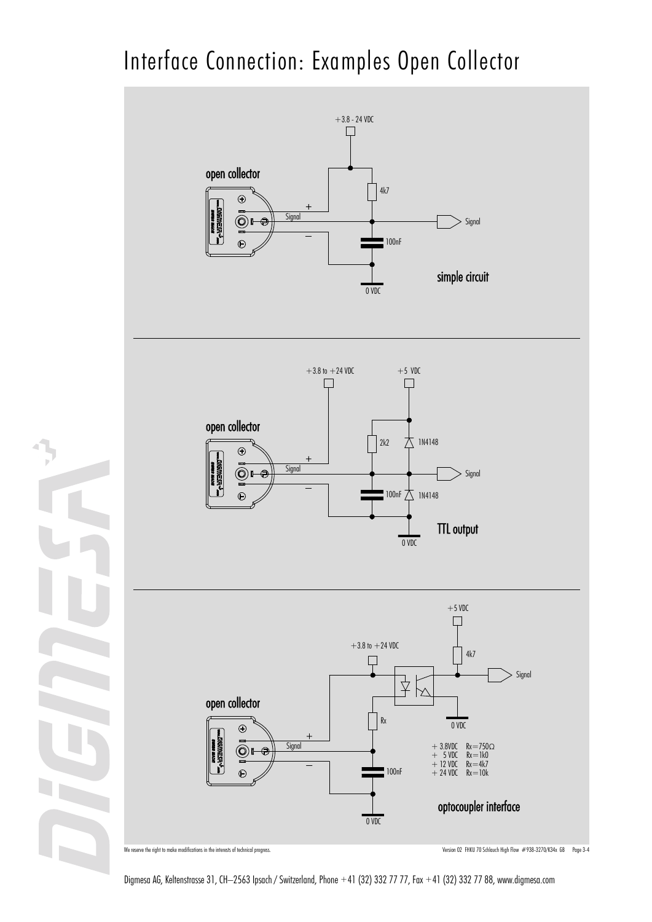# Interface Connection: Examples Open Collector



We reserve the right to make modifications in the interests of technical progress. The company of the company of the company of the company of the company of the company of the company of the company of the company of the

Digmesa AG, Keltenstrasse 31, CH–2563 Ipsach / Switzerland, Phone +41 (32) 332 77 77, Fax +41 (32) 332 77 88, www.digmesa.com